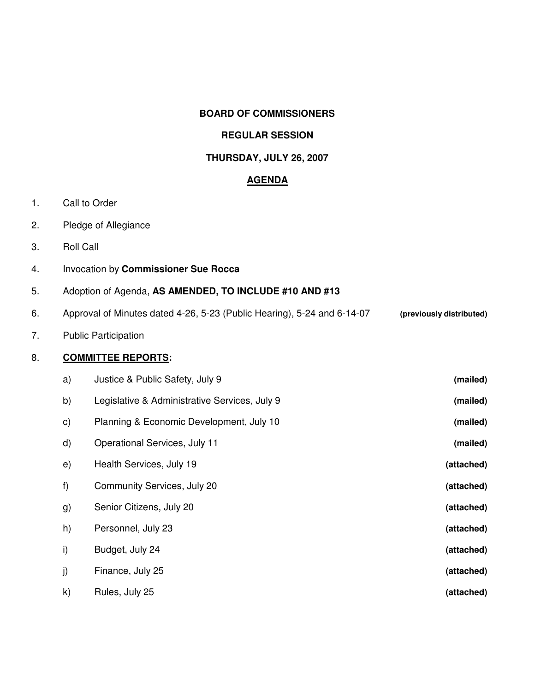### **BOARD OF COMMISSIONERS**

# **REGULAR SESSION**

# **THURSDAY, JULY 26, 2007**

### **AGENDA**

- 1. Call to Order
- 2. Pledge of Allegiance
- 3. Roll Call
- 4. Invocation by **Commissioner Sue Rocca**
- 5. Adoption of Agenda, **AS AMENDED, TO INCLUDE #10 AND #13**
- 6. Approval of Minutes dated 4-26, 5-23 (Public Hearing), 5-24 and 6-14-07 **(previously distributed)**

### 7. Public Participation

# 8. **COMMITTEE REPORTS:**

| a)            | Justice & Public Safety, July 9               | (mailed)   |
|---------------|-----------------------------------------------|------------|
| b)            | Legislative & Administrative Services, July 9 | (mailed)   |
| $\mathsf{c})$ | Planning & Economic Development, July 10      | (mailed)   |
| $\mathsf{d}$  | Operational Services, July 11                 | (mailed)   |
| e)            | Health Services, July 19                      | (attached) |
| f)            | Community Services, July 20                   | (attached) |
| g)            | Senior Citizens, July 20                      | (attached) |
| h)            | Personnel, July 23                            | (attached) |
| i)            | Budget, July 24                               | (attached) |
| j)            | Finance, July 25                              | (attached) |
| $\mathsf{k}$  | Rules, July 25                                | (attached) |